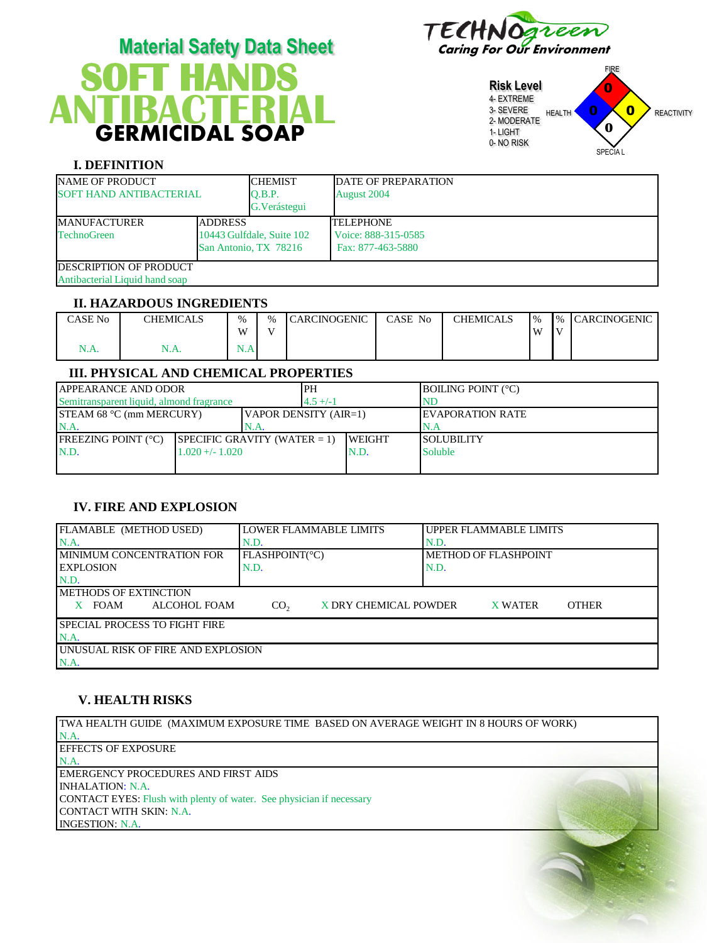

# **SOFT HANDS**  GERMICIDAL SOAP **Material Safety Data Sheet** Caring For Our Environment **ANTIBACTERIAL**

**Risk Level** 4- EXTREME 3- SEVERE 2- MODERATE 1- LIGHT 0- NO RISK FIRE HEALTH **U U REACTIVITY** SPECIA L 0  $\overline{\mathbf{0}}$ 0 **0**

## **I. DEFINITION**

| <b>NAME OF PRODUCT</b><br><b>SOFT HAND ANTIBACTERIAL</b>         |                                                                      | <b>CHEMIST</b><br>O.B.P.<br>G. Verástegui | <b>DATE OF PREPARATION</b><br>August 2004                    |
|------------------------------------------------------------------|----------------------------------------------------------------------|-------------------------------------------|--------------------------------------------------------------|
| <b>MANUFACTURER</b><br><b>TechnoGreen</b>                        | <b>ADDRESS</b><br>10443 Gulfdale, Suite 102<br>San Antonio, TX 78216 |                                           | <b>TELEPHONE</b><br>Voice: 888-315-0585<br>Fax: 877-463-5880 |
| <b>IDESCRIPTION OF PRODUCT</b><br>Antibacterial Liquid hand soap |                                                                      |                                           |                                                              |

### **II. HAZARDOUS INGREDIENTS**

| CASE No | <b>CHEMICALS</b> | $\frac{0}{0}$ | $\frac{0}{0}$ | CARCINOGENIC | CASE No | <b>CHEMICALS</b> | $\frac{1}{6}$ | $\frac{9}{6}$  | <b>ICARCINOGENIC</b> |
|---------|------------------|---------------|---------------|--------------|---------|------------------|---------------|----------------|----------------------|
|         |                  | W             | <b>Y</b> T    |              |         |                  | M             | $\overline{V}$ |                      |
| 1.A     | . <i>.</i>       | <b>1.71</b>   |               |              |         |                  |               |                |                      |

## **III. PHYSICAL AND CHEMICAL PROPERTIES**

| <b>JAPPEARANCE AND ODOR</b>              |                                |  | PH                             |                | <b>BOILING POINT</b> (°C) |
|------------------------------------------|--------------------------------|--|--------------------------------|----------------|---------------------------|
| Semitransparent liquid, almond fragrance |                                |  | $4.5 + (-1)$                   |                | NE                        |
| <b>STEAM 68 °C (mm MERCURY)</b>          |                                |  | $\forall$ APOR DENSITY (AIR=1) |                | <b>IEVAPORATION RATE</b>  |
| N.A<br>N.A.                              |                                |  |                                |                | 'N.A                      |
| <b>IFREEZING POINT (°C)</b>              | $SPECIFIC GRAVITY (WATER = 1)$ |  |                                | <b>IWEIGHT</b> | ISOLUBILITY               |
| N.D.<br>$1.020 + - 1.020$                |                                |  | N.D.                           | <b>Soluble</b> |                           |
|                                          |                                |  |                                |                |                           |

# **IV. FIRE AND EXPLOSION**

| FLAMABLE (METHOD USED)                     | ILOWER FLAMMABLE LIMITS |                       | <b>UPPER FLAMMABLE LIMITS</b>  |  |  |  |
|--------------------------------------------|-------------------------|-----------------------|--------------------------------|--|--|--|
| $NA$ .                                     | N.D.                    |                       | N.D.                           |  |  |  |
| IMINIMUM CONCENTRATION FOR                 | FLASHPOINT(°C)          |                       | METHOD OF FLASHPOINT           |  |  |  |
| <b>IEXPLOSION</b>                          | N.D.                    |                       | N.D.                           |  |  |  |
| N.D.                                       |                         |                       |                                |  |  |  |
| <b>IMETHODS OF EXTINCTION</b>              |                         |                       |                                |  |  |  |
| <b>FOAM</b><br>ALCOHOL FOAM                | CO <sub>2</sub>         | X DRY CHEMICAL POWDER | <b>OTHER</b><br><b>X WATER</b> |  |  |  |
| <b>ISPECIAL PROCESS TO FIGHT FIRE</b>      |                         |                       |                                |  |  |  |
| $NA$ .                                     |                         |                       |                                |  |  |  |
| <b>LUNUSUAL RISK OF FIRE AND EXPLOSION</b> |                         |                       |                                |  |  |  |
| N.A.                                       |                         |                       |                                |  |  |  |

# **V. HEALTH RISKS**

TWA HEALTH GUIDE (MAXIMUM EXPOSURE TIME BASED ON AVERAGE WEIGHT IN 8 HOURS OF WORK) N.A. EFFECTS OF EXPOSURE N.A. EMERGENCY PROCEDURES AND FIRST AIDS INHALATION: N.A. CONTACT EYES: Flush with plenty of water. See physician if necessary CONTACT WITH SKIN: N.A. INGESTION: N.A.